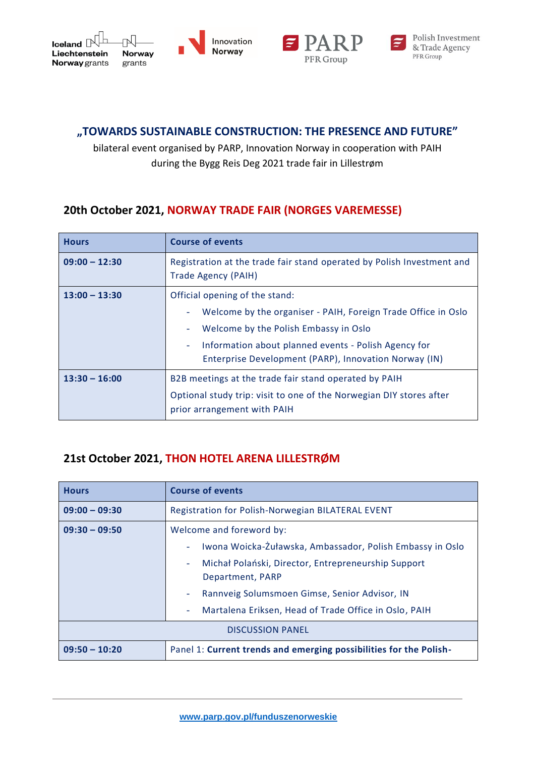





## **"TOWARDS SUSTAINABLE CONSTRUCTION: THE PRESENCE AND FUTURE"**

bilateral event organised by PARP, Innovation Norway in cooperation with PAIH during the Bygg Reis Deg 2021 trade fair in Lillestrøm

## **20th October 2021, NORWAY TRADE FAIR (NORGES VAREMESSE)**

| <b>Hours</b>    | <b>Course of events</b>                                                                                                                                                                                                                                   |
|-----------------|-----------------------------------------------------------------------------------------------------------------------------------------------------------------------------------------------------------------------------------------------------------|
| $09:00 - 12:30$ | Registration at the trade fair stand operated by Polish Investment and<br>Trade Agency (PAIH)                                                                                                                                                             |
| $13:00 - 13:30$ | Official opening of the stand:<br>Welcome by the organiser - PAIH, Foreign Trade Office in Oslo<br>Welcome by the Polish Embassy in Oslo<br>Information about planned events - Polish Agency for<br>Enterprise Development (PARP), Innovation Norway (IN) |
| $13:30 - 16:00$ | B2B meetings at the trade fair stand operated by PAIH<br>Optional study trip: visit to one of the Norwegian DIY stores after<br>prior arrangement with PAIH                                                                                               |

## **21st October 2021, THON HOTEL ARENA LILLESTRØM**

| <b>Hours</b>            | <b>Course of events</b>                                                                                                                                                                                                                                                                                |
|-------------------------|--------------------------------------------------------------------------------------------------------------------------------------------------------------------------------------------------------------------------------------------------------------------------------------------------------|
| $09:00 - 09:30$         | Registration for Polish-Norwegian BILATERAL EVENT                                                                                                                                                                                                                                                      |
| $09:30 - 09:50$         | Welcome and foreword by:<br>Iwona Woicka-Żuławska, Ambassador, Polish Embassy in Oslo<br>Michał Polański, Director, Entrepreneurship Support<br>$\overline{\phantom{a}}$<br>Department, PARP<br>Rannveig Solumsmoen Gimse, Senior Advisor, IN<br>Martalena Eriksen, Head of Trade Office in Oslo, PAIH |
| <b>DISCUSSION PANEL</b> |                                                                                                                                                                                                                                                                                                        |
| $09:50 - 10:20$         | Panel 1: Current trends and emerging possibilities for the Polish-                                                                                                                                                                                                                                     |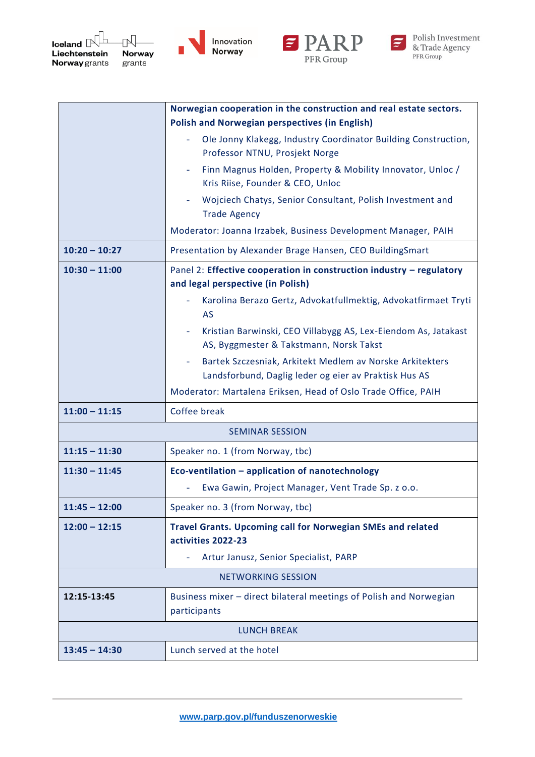







|                        | Norwegian cooperation in the construction and real estate sectors.                                                |
|------------------------|-------------------------------------------------------------------------------------------------------------------|
|                        | <b>Polish and Norwegian perspectives (in English)</b>                                                             |
|                        | Ole Jonny Klakegg, Industry Coordinator Building Construction,<br>Professor NTNU, Prosjekt Norge                  |
|                        | Finn Magnus Holden, Property & Mobility Innovator, Unloc /<br>Kris Riise, Founder & CEO, Unloc                    |
|                        | Wojciech Chatys, Senior Consultant, Polish Investment and<br><b>Trade Agency</b>                                  |
|                        | Moderator: Joanna Irzabek, Business Development Manager, PAIH                                                     |
| $10:20 - 10:27$        | Presentation by Alexander Brage Hansen, CEO BuildingSmart                                                         |
| $10:30 - 11:00$        | Panel 2: Effective cooperation in construction industry - regulatory<br>and legal perspective (in Polish)         |
|                        | Karolina Berazo Gertz, Advokatfullmektig, Advokatfirmaet Tryti<br>AS                                              |
|                        | Kristian Barwinski, CEO Villabygg AS, Lex-Eiendom As, Jatakast<br>AS, Byggmester & Takstmann, Norsk Takst         |
|                        | Bartek Szczesniak, Arkitekt Medlem av Norske Arkitekters<br>Landsforbund, Daglig leder og eier av Praktisk Hus AS |
|                        | Moderator: Martalena Eriksen, Head of Oslo Trade Office, PAIH                                                     |
| $11:00 - 11:15$        | Coffee break                                                                                                      |
| <b>SEMINAR SESSION</b> |                                                                                                                   |
| $11:15 - 11:30$        | Speaker no. 1 (from Norway, tbc)                                                                                  |
| $11:30 - 11:45$        | Eco-ventilation - application of nanotechnology                                                                   |
|                        | Ewa Gawin, Project Manager, Vent Trade Sp. z o.o.                                                                 |
| $11:45 - 12:00$        | Speaker no. 3 (from Norway, tbc)                                                                                  |
| $12:00 - 12:15$        | <b>Travel Grants. Upcoming call for Norwegian SMEs and related</b><br>activities 2022-23                          |
|                        | Artur Janusz, Senior Specialist, PARP                                                                             |
|                        | <b>NETWORKING SESSION</b>                                                                                         |
| 12:15-13:45            | Business mixer - direct bilateral meetings of Polish and Norwegian<br>participants                                |
| <b>LUNCH BREAK</b>     |                                                                                                                   |
| $13:45 - 14:30$        | Lunch served at the hotel                                                                                         |